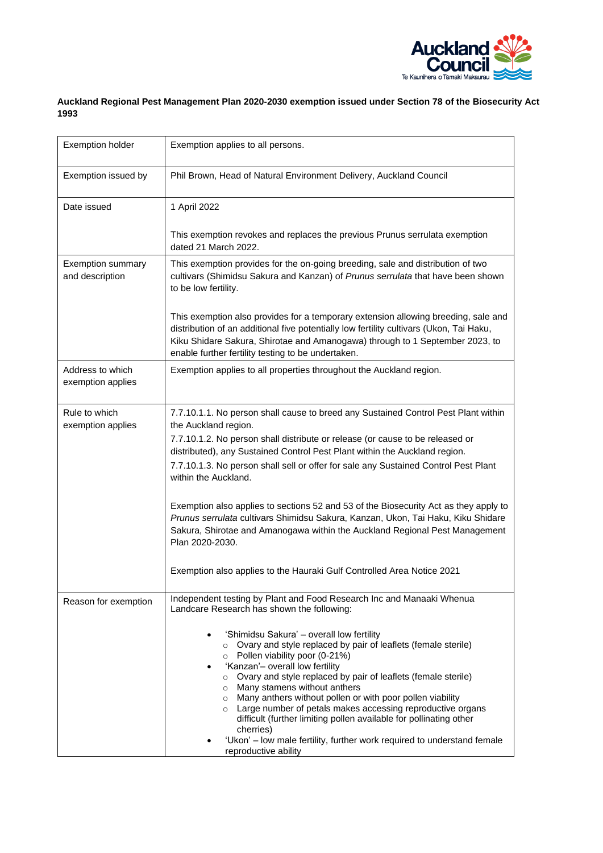

## **Auckland Regional Pest Management Plan 2020-2030 exemption issued under Section 78 of the Biosecurity Act 1993**

| <b>Exemption holder</b>                     | Exemption applies to all persons.                                                                                                                                                                                                                                                                                                                                                                                                                                                                                                                                                                                                                                                                                                                |
|---------------------------------------------|--------------------------------------------------------------------------------------------------------------------------------------------------------------------------------------------------------------------------------------------------------------------------------------------------------------------------------------------------------------------------------------------------------------------------------------------------------------------------------------------------------------------------------------------------------------------------------------------------------------------------------------------------------------------------------------------------------------------------------------------------|
| Exemption issued by                         | Phil Brown, Head of Natural Environment Delivery, Auckland Council                                                                                                                                                                                                                                                                                                                                                                                                                                                                                                                                                                                                                                                                               |
| Date issued                                 | 1 April 2022                                                                                                                                                                                                                                                                                                                                                                                                                                                                                                                                                                                                                                                                                                                                     |
|                                             | This exemption revokes and replaces the previous Prunus serrulata exemption<br>dated 21 March 2022.                                                                                                                                                                                                                                                                                                                                                                                                                                                                                                                                                                                                                                              |
| <b>Exemption summary</b><br>and description | This exemption provides for the on-going breeding, sale and distribution of two<br>cultivars (Shimidsu Sakura and Kanzan) of Prunus serrulata that have been shown<br>to be low fertility.                                                                                                                                                                                                                                                                                                                                                                                                                                                                                                                                                       |
|                                             | This exemption also provides for a temporary extension allowing breeding, sale and<br>distribution of an additional five potentially low fertility cultivars (Ukon, Tai Haku,<br>Kiku Shidare Sakura, Shirotae and Amanogawa) through to 1 September 2023, to<br>enable further fertility testing to be undertaken.                                                                                                                                                                                                                                                                                                                                                                                                                              |
| Address to which<br>exemption applies       | Exemption applies to all properties throughout the Auckland region.                                                                                                                                                                                                                                                                                                                                                                                                                                                                                                                                                                                                                                                                              |
| Rule to which<br>exemption applies          | 7.7.10.1.1. No person shall cause to breed any Sustained Control Pest Plant within<br>the Auckland region.<br>7.7.10.1.2. No person shall distribute or release (or cause to be released or<br>distributed), any Sustained Control Pest Plant within the Auckland region.<br>7.7.10.1.3. No person shall sell or offer for sale any Sustained Control Pest Plant<br>within the Auckland.<br>Exemption also applies to sections 52 and 53 of the Biosecurity Act as they apply to<br>Prunus serrulata cultivars Shimidsu Sakura, Kanzan, Ukon, Tai Haku, Kiku Shidare                                                                                                                                                                             |
|                                             | Sakura, Shirotae and Amanogawa within the Auckland Regional Pest Management<br>Plan 2020-2030.<br>Exemption also applies to the Hauraki Gulf Controlled Area Notice 2021                                                                                                                                                                                                                                                                                                                                                                                                                                                                                                                                                                         |
| Reason for exemption                        | Independent testing by Plant and Food Research Inc and Manaaki Whenua<br>Landcare Research has shown the following:<br>'Shimidsu Sakura' - overall low fertility<br>$\bullet$<br>o Ovary and style replaced by pair of leaflets (female sterile)<br>o Pollen viability poor (0-21%)<br>'Kanzan'- overall low fertility<br>o Ovary and style replaced by pair of leaflets (female sterile)<br>o Many stamens without anthers<br>o Many anthers without pollen or with poor pollen viability<br>o Large number of petals makes accessing reproductive organs<br>difficult (further limiting pollen available for pollinating other<br>cherries)<br>'Ukon' - low male fertility, further work required to understand female<br>reproductive ability |